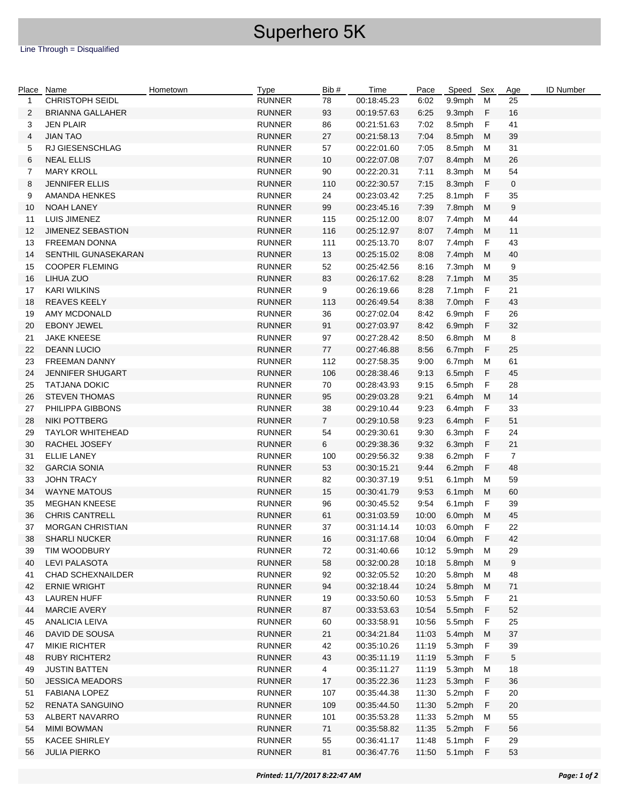## Superhero 5K

|    | Place Name               | Hometown | Type          | Bib #          | Time        | Pace  | Speed Sex      |    | Age            | <b>ID Number</b> |
|----|--------------------------|----------|---------------|----------------|-------------|-------|----------------|----|----------------|------------------|
| 1  | CHRISTOPH SEIDL          |          | <b>RUNNER</b> | 78             | 00:18:45.23 | 6:02  | 9.9mph         | M  | 25             |                  |
| 2  | <b>BRIANNA GALLAHER</b>  |          | <b>RUNNER</b> | 93             | 00:19:57.63 | 6:25  | 9.3mph         | F  | 16             |                  |
| 3  | <b>JEN PLAIR</b>         |          | <b>RUNNER</b> | 86             | 00:21:51.63 | 7:02  | 8.5mph         | F  | 41             |                  |
| 4  | <b>JIAN TAO</b>          |          | <b>RUNNER</b> | 27             | 00:21:58.13 | 7:04  | 8.5mph         | M  | 39             |                  |
| 5  | <b>RJ GIESENSCHLAG</b>   |          | <b>RUNNER</b> | 57             | 00:22:01.60 | 7:05  | 8.5mph         | м  | 31             |                  |
| 6  | <b>NEAL ELLIS</b>        |          | <b>RUNNER</b> | 10             | 00:22:07.08 | 7:07  | 8.4mph         | M  | 26             |                  |
| 7  | <b>MARY KROLL</b>        |          | <b>RUNNER</b> | 90             | 00:22:20.31 | 7:11  | 8.3mph         | м  | 54             |                  |
| 8  | <b>JENNIFER ELLIS</b>    |          | <b>RUNNER</b> | 110            | 00:22:30.57 | 7:15  | 8.3mph         | F  | $\mathbf 0$    |                  |
| 9  | AMANDA HENKES            |          | <b>RUNNER</b> | 24             | 00:23:03.42 | 7:25  | 8.1mph         | F  | 35             |                  |
| 10 | <b>NOAH LANEY</b>        |          | <b>RUNNER</b> | 99             | 00:23:45.16 | 7:39  | 7.8mph         | M  | 9              |                  |
| 11 | LUIS JIMENEZ             |          | <b>RUNNER</b> | 115            | 00:25:12.00 | 8:07  | 7.4mph         | м  | 44             |                  |
| 12 | JIMENEZ SEBASTION        |          | <b>RUNNER</b> | 116            | 00:25:12.97 | 8:07  | 7.4mph         | M  | 11             |                  |
| 13 | <b>FREEMAN DONNA</b>     |          | <b>RUNNER</b> | 111            | 00:25:13.70 | 8:07  | 7.4mph         | F  | 43             |                  |
| 14 | SENTHIL GUNASEKARAN      |          | <b>RUNNER</b> | 13             | 00:25:15.02 | 8:08  | 7.4mph         | M  | 40             |                  |
| 15 | <b>COOPER FLEMING</b>    |          | <b>RUNNER</b> | 52             | 00:25:42.56 | 8:16  | 7.3mph         | M  | 9              |                  |
| 16 | LIHUA ZUO                |          | <b>RUNNER</b> | 83             | 00:26:17.62 | 8:28  | 7.1mph         | M  | 35             |                  |
| 17 | <b>KARI WILKINS</b>      |          | <b>RUNNER</b> | 9              | 00:26:19.66 | 8:28  | 7.1mph         | F  | 21             |                  |
| 18 | <b>REAVES KEELY</b>      |          | <b>RUNNER</b> | 113            | 00:26:49.54 | 8:38  | 7.0mph         | F  | 43             |                  |
| 19 | AMY MCDONALD             |          | <b>RUNNER</b> | 36             | 00:27:02.04 | 8:42  | 6.9mph         | F  | 26             |                  |
| 20 | <b>EBONY JEWEL</b>       |          | <b>RUNNER</b> | 91             | 00:27:03.97 | 8:42  | 6.9mph         | F  | 32             |                  |
| 21 | <b>JAKE KNEESE</b>       |          | <b>RUNNER</b> | 97             | 00:27:28.42 | 8:50  | 6.8mph         | M  | 8              |                  |
| 22 | <b>DEANN LUCIO</b>       |          | <b>RUNNER</b> | 77             | 00:27:46.88 | 8:56  | 6.7mph         | F  | 25             |                  |
| 23 | <b>FREEMAN DANNY</b>     |          | <b>RUNNER</b> | 112            | 00:27:58.35 | 9:00  | 6.7mph         | М  | 61             |                  |
| 24 | <b>JENNIFER SHUGART</b>  |          | <b>RUNNER</b> | 106            | 00:28:38.46 | 9:13  | 6.5mph         | F  | 45             |                  |
| 25 | <b>TATJANA DOKIC</b>     |          | <b>RUNNER</b> | 70             | 00:28:43.93 | 9:15  | 6.5mph         | F  | 28             |                  |
| 26 | <b>STEVEN THOMAS</b>     |          | <b>RUNNER</b> | 95             | 00:29:03.28 | 9:21  | 6.4mph         | M  | 14             |                  |
| 27 | PHILIPPA GIBBONS         |          | <b>RUNNER</b> | 38             | 00:29:10.44 | 9:23  | 6.4mph         | F  | 33             |                  |
| 28 | <b>NIKI POTTBERG</b>     |          | <b>RUNNER</b> | $\overline{7}$ | 00:29:10.58 | 9:23  | 6.4mph         | F  | 51             |                  |
| 29 | <b>TAYLOR WHITEHEAD</b>  |          | <b>RUNNER</b> | 54             | 00:29:30.61 | 9:30  | 6.3mph         | F  | 24             |                  |
| 30 | RACHEL JOSEFY            |          | <b>RUNNER</b> | 6              | 00:29:38.36 | 9:32  | 6.3mph         | F  | 21             |                  |
| 31 | <b>ELLIE LANEY</b>       |          | <b>RUNNER</b> | 100            | 00:29:56.32 | 9:38  | 6.2mph         | F  | $\overline{7}$ |                  |
| 32 | <b>GARCIA SONIA</b>      |          | <b>RUNNER</b> | 53             | 00:30:15.21 | 9:44  | 6.2mph         | F  | 48             |                  |
| 33 | <b>JOHN TRACY</b>        |          | <b>RUNNER</b> | 82             | 00:30:37.19 | 9:51  | 6.1mph         | M  | 59             |                  |
| 34 | <b>WAYNE MATOUS</b>      |          | <b>RUNNER</b> | 15             | 00:30:41.79 | 9:53  | 6.1mph         | M  | 60             |                  |
| 35 | <b>MEGHAN KNEESE</b>     |          | <b>RUNNER</b> | 96             | 00:30:45.52 | 9:54  | 6.1mph         | -F | 39             |                  |
| 36 | <b>CHRIS CANTRELL</b>    |          | <b>RUNNER</b> | 61             | 00:31:03.59 | 10:00 | 6.0mph M       |    | 45             |                  |
| 37 | <b>MORGAN CHRISTIAN</b>  |          | <b>RUNNER</b> | 37             | 00:31:14.14 | 10:03 | 6.0mph F       |    | 22             |                  |
| 38 | <b>SHARLI NUCKER</b>     |          | <b>RUNNER</b> | 16             | 00:31:17.68 |       | 10:04 6.0mph F |    | 42             |                  |
| 39 | TIM WOODBURY             |          | <b>RUNNER</b> | 72             | 00:31:40.66 | 10:12 | 5.9mph M       |    | 29             |                  |
| 40 | <b>LEVI PALASOTA</b>     |          | <b>RUNNER</b> | 58             | 00:32:00.28 | 10:18 | 5.8mph         | M  | 9              |                  |
| 41 | <b>CHAD SCHEXNAILDER</b> |          | <b>RUNNER</b> | 92             | 00:32:05.52 | 10:20 | 5.8mph         | М  | 48             |                  |
| 42 | <b>ERNIE WRIGHT</b>      |          | <b>RUNNER</b> | 94             | 00:32:18.44 | 10:24 | 5.8mph         | М  | 71             |                  |
| 43 | <b>LAUREN HUFF</b>       |          | <b>RUNNER</b> | 19             | 00:33:50.60 | 10:53 | 5.5mph         | F  | 21             |                  |
| 44 | <b>MARCIE AVERY</b>      |          | <b>RUNNER</b> | 87             | 00:33:53.63 | 10:54 | 5.5mph         | F  | 52             |                  |
| 45 | <b>ANALICIA LEIVA</b>    |          | <b>RUNNER</b> | 60             | 00:33:58.91 | 10:56 | 5.5mph         | F  | 25             |                  |
| 46 | DAVID DE SOUSA           |          | <b>RUNNER</b> | 21             | 00:34:21.84 | 11:03 | 5.4mph         | M  | 37             |                  |
| 47 | <b>MIKIE RICHTER</b>     |          | <b>RUNNER</b> | 42             | 00:35:10.26 | 11:19 | 5.3mph         | F  | 39             |                  |
| 48 | <b>RUBY RICHTER2</b>     |          | <b>RUNNER</b> | 43             | 00:35:11.19 | 11:19 | 5.3mph         | F  | 5              |                  |
| 49 | <b>JUSTIN BATTEN</b>     |          | <b>RUNNER</b> | $\overline{4}$ | 00:35:11.27 | 11:19 | 5.3mph         | м  | 18             |                  |
| 50 | <b>JESSICA MEADORS</b>   |          | <b>RUNNER</b> | 17             | 00:35:22.36 | 11:23 | 5.3mph         | F  | 36             |                  |
| 51 | <b>FABIANA LOPEZ</b>     |          | <b>RUNNER</b> | 107            | 00:35:44.38 | 11:30 | 5.2mph         | F  | 20             |                  |
| 52 | <b>RENATA SANGUINO</b>   |          | <b>RUNNER</b> | 109            | 00:35:44.50 | 11:30 | 5.2mph         | F  | 20             |                  |
| 53 | ALBERT NAVARRO           |          | <b>RUNNER</b> | 101            | 00:35:53.28 | 11:33 | 5.2mph         | M  | 55             |                  |
| 54 | <b>MIMI BOWMAN</b>       |          | <b>RUNNER</b> | 71             | 00:35:58.82 | 11:35 | 5.2mph         | F  | 56             |                  |
| 55 | <b>KACEE SHIRLEY</b>     |          | <b>RUNNER</b> | 55             | 00:36:41.17 | 11:48 | 5.1mph         | F  | 29             |                  |
| 56 | <b>JULIA PIERKO</b>      |          | <b>RUNNER</b> | 81             | 00:36:47.76 | 11:50 | 5.1mph F       |    | 53             |                  |
|    |                          |          |               |                |             |       |                |    |                |                  |